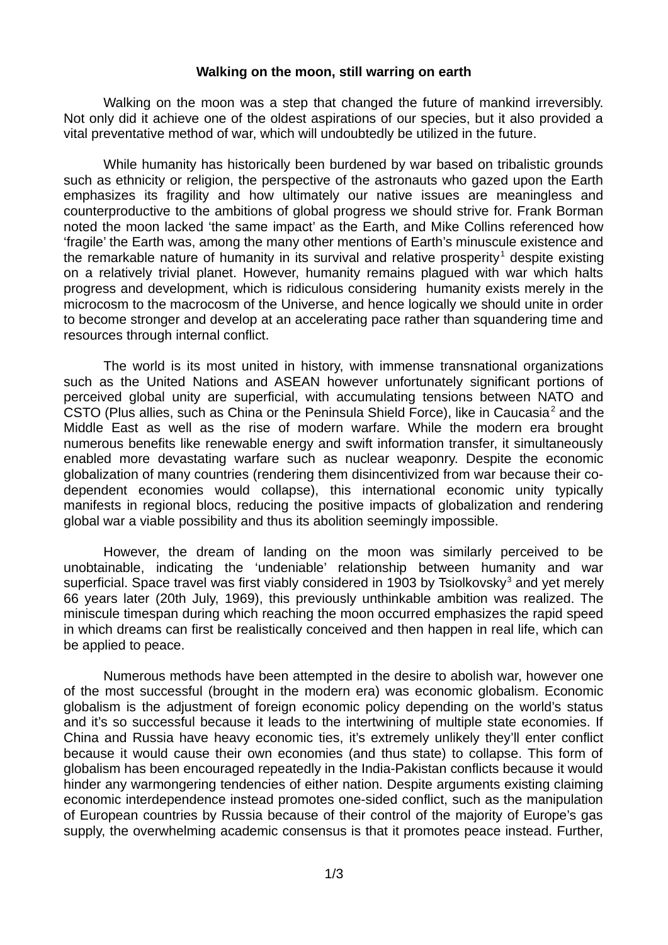## **Walking on the moon, still warring on earth**

Walking on the moon was a step that changed the future of mankind irreversibly. Not only did it achieve one of the oldest aspirations of our species, but it also provided a vital preventative method of war, which will undoubtedly be utilized in the future.

While humanity has historically been burdened by war based on tribalistic grounds such as ethnicity or religion, the perspective of the astronauts who gazed upon the Earth emphasizes its fragility and how ultimately our native issues are meaningless and counterproductive to the ambitions of global progress we should strive for. Frank Borman noted the moon lacked 'the same impact' as the Earth, and Mike Collins referenced how 'fragile' the Earth was, among the many other mentions of Earth's minuscule existence and the remarkable nature of humanity in its survival and relative prosperity<sup>1</sup> despite existing on a relatively trivial planet. However, humanity remains plagued with war which halts progress and development, which is ridiculous considering humanity exists merely in the microcosm to the macrocosm of the Universe, and hence logically we should unite in order to become stronger and develop at an accelerating pace rather than squandering time and resources through internal conflict.

The world is its most united in history, with immense transnational organizations such as the United Nations and ASEAN however unfortunately significant portions of perceived global unity are superficial, with accumulating tensions between NATO and CSTO (Plus allies, such as China or the Peninsula Shield Force), like in Caucasia<sup>2</sup> and the Middle East as well as the rise of modern warfare. While the modern era brought numerous benefits like renewable energy and swift information transfer, it simultaneously enabled more devastating warfare such as nuclear weaponry. Despite the economic globalization of many countries (rendering them disincentivized from war because their codependent economies would collapse), this international economic unity typically manifests in regional blocs, reducing the positive impacts of globalization and rendering global war a viable possibility and thus its abolition seemingly impossible.

However, the dream of landing on the moon was similarly perceived to be unobtainable, indicating the 'undeniable' relationship between humanity and war superficial. Space travel was first viably considered in 1903 by Tsiolkovsky $^3$  and yet merely 66 years later (20th July, 1969), this previously unthinkable ambition was realized. The miniscule timespan during which reaching the moon occurred emphasizes the rapid speed in which dreams can first be realistically conceived and then happen in real life, which can be applied to peace.

Numerous methods have been attempted in the desire to abolish war, however one of the most successful (brought in the modern era) was economic globalism. Economic globalism is the adjustment of foreign economic policy depending on the world's status and it's so successful because it leads to the intertwining of multiple state economies. If China and Russia have heavy economic ties, it's extremely unlikely they'll enter conflict because it would cause their own economies (and thus state) to collapse. This form of globalism has been encouraged repeatedly in the India-Pakistan conflicts because it would hinder any warmongering tendencies of either nation. Despite arguments existing claiming economic interdependence instead promotes one-sided conflict, such as the manipulation of European countries by Russia because of their control of the majority of Europe's gas supply, the overwhelming academic consensus is that it promotes peace instead. Further,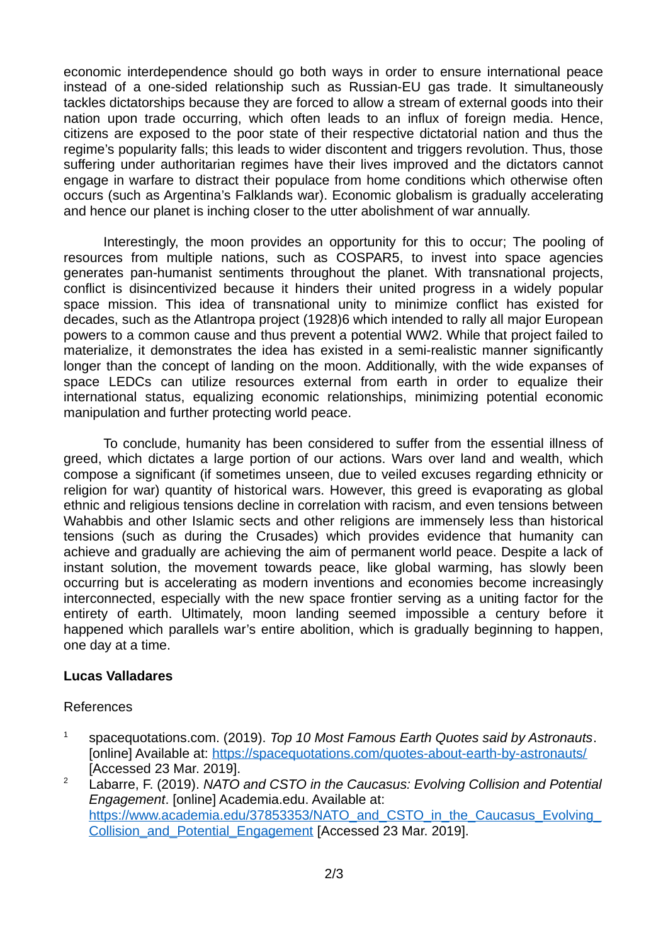economic interdependence should go both ways in order to ensure international peace instead of a one-sided relationship such as Russian-EU gas trade. It simultaneously tackles dictatorships because they are forced to allow a stream of external goods into their nation upon trade occurring, which often leads to an influx of foreign media. Hence, citizens are exposed to the poor state of their respective dictatorial nation and thus the regime's popularity falls; this leads to wider discontent and triggers revolution. Thus, those suffering under authoritarian regimes have their lives improved and the dictators cannot engage in warfare to distract their populace from home conditions which otherwise often occurs (such as Argentina's Falklands war). Economic globalism is gradually accelerating and hence our planet is inching closer to the utter abolishment of war annually.

Interestingly, the moon provides an opportunity for this to occur; The pooling of resources from multiple nations, such as COSPAR5, to invest into space agencies generates pan-humanist sentiments throughout the planet. With transnational projects, conflict is disincentivized because it hinders their united progress in a widely popular space mission. This idea of transnational unity to minimize conflict has existed for decades, such as the Atlantropa project (1928)6 which intended to rally all major European powers to a common cause and thus prevent a potential WW2. While that project failed to materialize, it demonstrates the idea has existed in a semi-realistic manner significantly longer than the concept of landing on the moon. Additionally, with the wide expanses of space LEDCs can utilize resources external from earth in order to equalize their international status, equalizing economic relationships, minimizing potential economic manipulation and further protecting world peace.

To conclude, humanity has been considered to suffer from the essential illness of greed, which dictates a large portion of our actions. Wars over land and wealth, which compose a significant (if sometimes unseen, due to veiled excuses regarding ethnicity or religion for war) quantity of historical wars. However, this greed is evaporating as global ethnic and religious tensions decline in correlation with racism, and even tensions between Wahabbis and other Islamic sects and other religions are immensely less than historical tensions (such as during the Crusades) which provides evidence that humanity can achieve and gradually are achieving the aim of permanent world peace. Despite a lack of instant solution, the movement towards peace, like global warming, has slowly been occurring but is accelerating as modern inventions and economies become increasingly interconnected, especially with the new space frontier serving as a uniting factor for the entirety of earth. Ultimately, moon landing seemed impossible a century before it happened which parallels war's entire abolition, which is gradually beginning to happen, one day at a time.

## **Lucas Valladares**

## References

- 1 spacequotations.com. (2019). *Top 10 Most Famous Earth Quotes said by Astronauts*. [online] Available at:<https://spacequotations.com/quotes-about-earth-by-astronauts/> [Accessed 23 Mar. 2019].
- <sup>2</sup> Labarre, F. (2019). *NATO and CSTO in the Caucasus: Evolving Collision and Potential Engagement*. [online] Academia.edu. Available at: https://www.academia.edu/37853353/NATO\_and\_CSTO\_in\_the\_Caucasus\_Evolving Collision and Potential Engagement [Accessed 23 Mar. 2019].